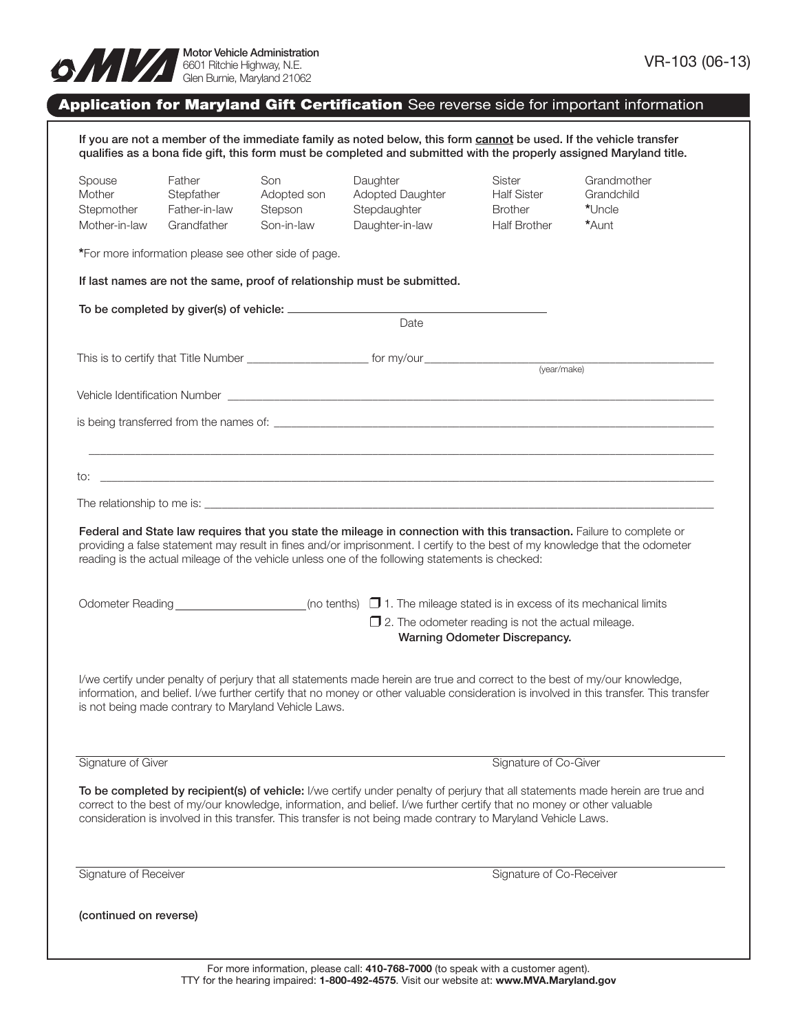

## **Application for Maryland Gift Certification** See reverse side for important information

If you are not a member of the immediate family as noted below, this form **cannot** be used. If the vehicle transfer qualifies as a bona fide gift, this form must be completed and submitted with the properly assigned Maryland title.

| Spouse<br>Mother<br>Stepmother<br>Mother-in-law                                                                                                                                                                                                                                                                                                                            | Father<br>Stepfather<br>Father-in-law<br>Grandfather         | Son<br>Adopted son<br>Stepson<br>Son-in-law | Daughter<br>Adopted Daughter<br>Stepdaughter<br>Daughter-in-law                                                             | Sister<br><b>Half Sister</b><br><b>Brother</b><br><b>Half Brother</b> | Grandmother<br>Grandchild<br>*Uncle<br>*Aunt                                                                                            |  |  |  |  |  |  |
|----------------------------------------------------------------------------------------------------------------------------------------------------------------------------------------------------------------------------------------------------------------------------------------------------------------------------------------------------------------------------|--------------------------------------------------------------|---------------------------------------------|-----------------------------------------------------------------------------------------------------------------------------|-----------------------------------------------------------------------|-----------------------------------------------------------------------------------------------------------------------------------------|--|--|--|--|--|--|
|                                                                                                                                                                                                                                                                                                                                                                            | *For more information please see other side of page.         |                                             |                                                                                                                             |                                                                       |                                                                                                                                         |  |  |  |  |  |  |
| If last names are not the same, proof of relationship must be submitted.                                                                                                                                                                                                                                                                                                   |                                                              |                                             |                                                                                                                             |                                                                       |                                                                                                                                         |  |  |  |  |  |  |
|                                                                                                                                                                                                                                                                                                                                                                            |                                                              |                                             |                                                                                                                             |                                                                       |                                                                                                                                         |  |  |  |  |  |  |
|                                                                                                                                                                                                                                                                                                                                                                            |                                                              |                                             | Date                                                                                                                        |                                                                       |                                                                                                                                         |  |  |  |  |  |  |
|                                                                                                                                                                                                                                                                                                                                                                            |                                                              |                                             |                                                                                                                             | (year/make)                                                           |                                                                                                                                         |  |  |  |  |  |  |
|                                                                                                                                                                                                                                                                                                                                                                            |                                                              |                                             |                                                                                                                             |                                                                       |                                                                                                                                         |  |  |  |  |  |  |
|                                                                                                                                                                                                                                                                                                                                                                            |                                                              |                                             |                                                                                                                             |                                                                       |                                                                                                                                         |  |  |  |  |  |  |
|                                                                                                                                                                                                                                                                                                                                                                            |                                                              |                                             |                                                                                                                             |                                                                       |                                                                                                                                         |  |  |  |  |  |  |
|                                                                                                                                                                                                                                                                                                                                                                            |                                                              |                                             |                                                                                                                             |                                                                       |                                                                                                                                         |  |  |  |  |  |  |
|                                                                                                                                                                                                                                                                                                                                                                            |                                                              |                                             |                                                                                                                             |                                                                       |                                                                                                                                         |  |  |  |  |  |  |
| Federal and State law requires that you state the mileage in connection with this transaction. Failure to complete or<br>providing a false statement may result in fines and/or imprisonment. I certify to the best of my knowledge that the odometer<br>reading is the actual mileage of the vehicle unless one of the following statements is checked:                   |                                                              |                                             |                                                                                                                             |                                                                       |                                                                                                                                         |  |  |  |  |  |  |
|                                                                                                                                                                                                                                                                                                                                                                            |                                                              |                                             | (no tenths) $\Box$ 1. The mileage stated is in excess of its mechanical limits                                              |                                                                       |                                                                                                                                         |  |  |  |  |  |  |
|                                                                                                                                                                                                                                                                                                                                                                            | $\square$ 2. The odometer reading is not the actual mileage. |                                             |                                                                                                                             |                                                                       |                                                                                                                                         |  |  |  |  |  |  |
|                                                                                                                                                                                                                                                                                                                                                                            | Warning Odometer Discrepancy.                                |                                             |                                                                                                                             |                                                                       |                                                                                                                                         |  |  |  |  |  |  |
|                                                                                                                                                                                                                                                                                                                                                                            | is not being made contrary to Maryland Vehicle Laws.         |                                             | I/we certify under penalty of perjury that all statements made herein are true and correct to the best of my/our knowledge, |                                                                       | information, and belief. I/we further certify that no money or other valuable consideration is involved in this transfer. This transfer |  |  |  |  |  |  |
| Signature of Giver                                                                                                                                                                                                                                                                                                                                                         |                                                              |                                             |                                                                                                                             | Signature of Co-Giver                                                 |                                                                                                                                         |  |  |  |  |  |  |
| To be completed by recipient(s) of vehicle: I/we certify under penalty of perjury that all statements made herein are true and<br>correct to the best of my/our knowledge, information, and belief. I/we further certify that no money or other valuable<br>consideration is involved in this transfer. This transfer is not being made contrary to Maryland Vehicle Laws. |                                                              |                                             |                                                                                                                             |                                                                       |                                                                                                                                         |  |  |  |  |  |  |
| Signature of Receiver                                                                                                                                                                                                                                                                                                                                                      |                                                              |                                             |                                                                                                                             | Signature of Co-Receiver                                              |                                                                                                                                         |  |  |  |  |  |  |
| (continued on reverse)                                                                                                                                                                                                                                                                                                                                                     |                                                              |                                             |                                                                                                                             |                                                                       |                                                                                                                                         |  |  |  |  |  |  |